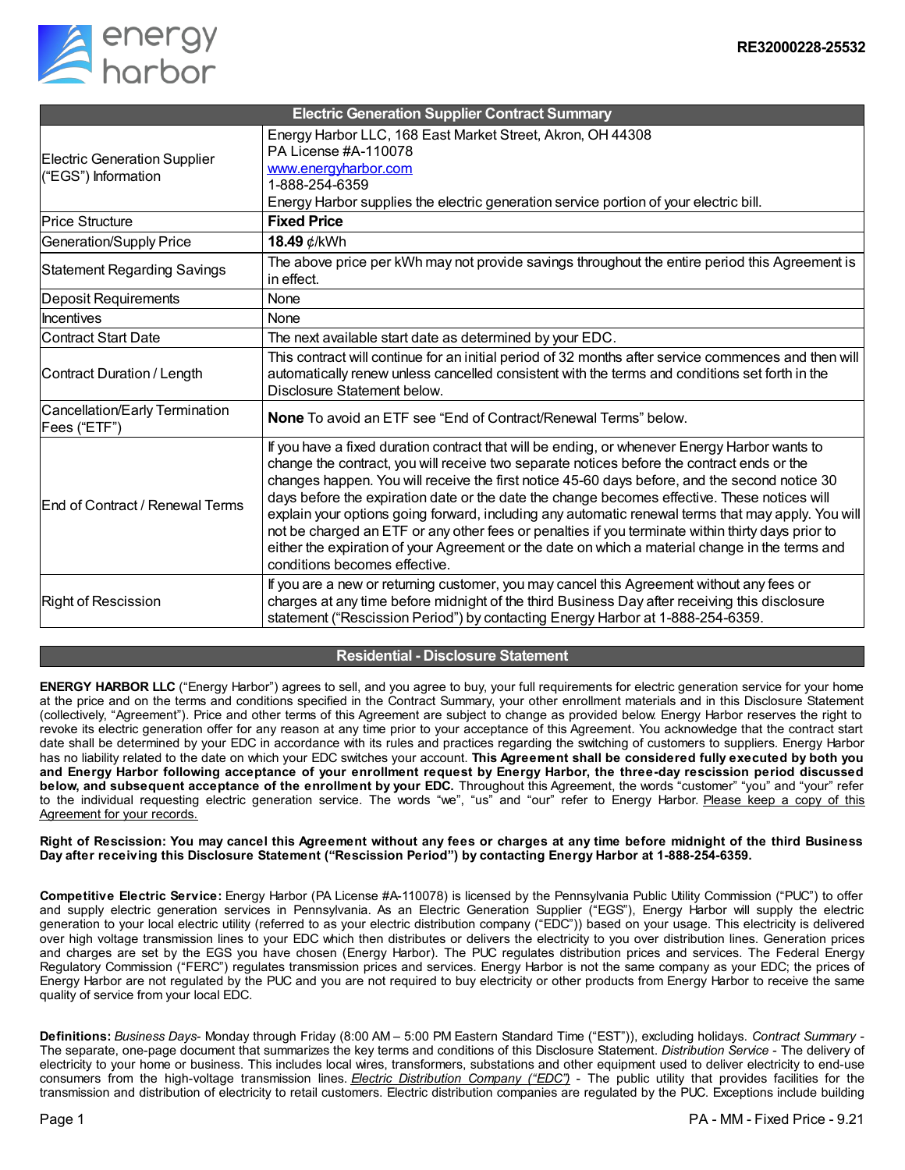

| <b>Electric Generation Supplier Contract Summary</b>       |                                                                                                                                                                                                                                                                                                                                                                                                                                                                                                                                                                                                                                                                                                                                             |
|------------------------------------------------------------|---------------------------------------------------------------------------------------------------------------------------------------------------------------------------------------------------------------------------------------------------------------------------------------------------------------------------------------------------------------------------------------------------------------------------------------------------------------------------------------------------------------------------------------------------------------------------------------------------------------------------------------------------------------------------------------------------------------------------------------------|
| <b>Electric Generation Supplier</b><br>("EGS") Information | Energy Harbor LLC, 168 East Market Street, Akron, OH 44308<br>PA License #A-110078<br>www.energyharbor.com<br>1-888-254-6359<br>Energy Harbor supplies the electric generation service portion of your electric bill.                                                                                                                                                                                                                                                                                                                                                                                                                                                                                                                       |
| <b>Price Structure</b>                                     | <b>Fixed Price</b>                                                                                                                                                                                                                                                                                                                                                                                                                                                                                                                                                                                                                                                                                                                          |
| Generation/Supply Price                                    | 18.49 ¢/kWh                                                                                                                                                                                                                                                                                                                                                                                                                                                                                                                                                                                                                                                                                                                                 |
| <b>Statement Regarding Savings</b>                         | The above price per kWh may not provide savings throughout the entire period this Agreement is<br>in effect.                                                                                                                                                                                                                                                                                                                                                                                                                                                                                                                                                                                                                                |
| Deposit Requirements                                       | None                                                                                                                                                                                                                                                                                                                                                                                                                                                                                                                                                                                                                                                                                                                                        |
| Incentives                                                 | None                                                                                                                                                                                                                                                                                                                                                                                                                                                                                                                                                                                                                                                                                                                                        |
| <b>Contract Start Date</b>                                 | The next available start date as determined by your EDC.                                                                                                                                                                                                                                                                                                                                                                                                                                                                                                                                                                                                                                                                                    |
| Contract Duration / Length                                 | This contract will continue for an initial period of 32 months after service commences and then will<br>automatically renew unless cancelled consistent with the terms and conditions set forth in the<br>Disclosure Statement below.                                                                                                                                                                                                                                                                                                                                                                                                                                                                                                       |
| Cancellation/Early Termination<br>Fees ("ETF")             | <b>None</b> To avoid an ETF see "End of Contract/Renewal Terms" below.                                                                                                                                                                                                                                                                                                                                                                                                                                                                                                                                                                                                                                                                      |
| <b>End of Contract / Renewal Terms</b>                     | If you have a fixed duration contract that will be ending, or whenever Energy Harbor wants to<br>change the contract, you will receive two separate notices before the contract ends or the<br>changes happen. You will receive the first notice 45-60 days before, and the second notice 30<br>days before the expiration date or the date the change becomes effective. These notices will<br>explain your options going forward, including any automatic renewal terms that may apply. You will<br>not be charged an ETF or any other fees or penalties if you terminate within thirty days prior to<br>either the expiration of your Agreement or the date on which a material change in the terms and<br>conditions becomes effective. |
| Right of Rescission                                        | If you are a new or returning customer, you may cancel this Agreement without any fees or<br>charges at any time before midnight of the third Business Day after receiving this disclosure<br>statement ("Rescission Period") by contacting Energy Harbor at 1-888-254-6359.                                                                                                                                                                                                                                                                                                                                                                                                                                                                |

## **Residential - Disclosure Statement**

**ENERGY HARBOR LLC** ("Energy Harbor") agrees to sell, and you agree to buy, your full requirements for electric generation service for your home at the price and on the terms and conditions specified in the Contract Summary, your other enrollment materials and in this Disclosure Statement (collectively, "Agreement"). Price and other terms of this Agreement are subject to change as provided below. Energy Harbor reserves the right to revoke its electric generation offer for any reason at any time prior to your acceptance of this Agreement. You acknowledge that the contract start date shall be determined by your EDC in accordance with its rules and practices regarding the switching of customers to suppliers. Energy Harbor has no liability related to the date on which your EDC switches your account. **This Agreement shall be considered fully executed by both you** and Energy Harbor following acceptance of your enrollment request by Energy Harbor, the three-day rescission period discussed **below, and subsequent acceptance of the enrollment by your EDC.** Throughout this Agreement, the words "customer" "you" and "your" refer to the individual requesting electric generation service. The words "we", "us" and "our" refer to Energy Harbor. Please keep a copy of this Agreement for your records.

Right of Rescission: You may cancel this Agreement without any fees or charges at any time before midnight of the third Business **Day after receiving this Disclosure Statement ("Rescission Period") by contacting Energy Harbor at 1-888-254-6359.**

**Competitive Electric Service:** Energy Harbor (PA License #A-110078) is licensed by the Pennsylvania Public Utility Commission ("PUC") to offer and supply electric generation services in Pennsylvania. As an Electric Generation Supplier ("EGS"), Energy Harbor will supply the electric generation to your local electric utility (referred to as your electric distribution company ("EDC")) based on your usage. This electricity is delivered over high voltage transmission lines to your EDC which then distributes or delivers the electricity to you over distribution lines. Generation prices and charges are set by the EGS you have chosen (Energy Harbor). The PUC regulates distribution prices and services. The Federal Energy Regulatory Commission ("FERC") regulates transmission prices and services. Energy Harbor is not the same company as your EDC; the prices of Energy Harbor are not regulated by the PUC and you are not required to buy electricity or other products from Energy Harbor to receive the same quality of service from your local EDC.

**Definitions:** *Business Days*- Monday through Friday (8:00 AM – 5:00 PM Eastern Standard Time ("EST")), excluding holidays. *Contract Summary* - The separate, one-page document that summarizes the key terms and conditions of this Disclosure Statement. *Distribution Service* - The delivery of electricity to your home or business. This includes local wires, transformers, substations and other equipment used to deliver electricity to end-use consumers from the high-voltage transmission lines. *Electric Distribution Company ("EDC")* - The public utility that provides facilities for the transmission and distribution of electricity to retail customers. Electric distribution companies are regulated by the PUC. Exceptions include building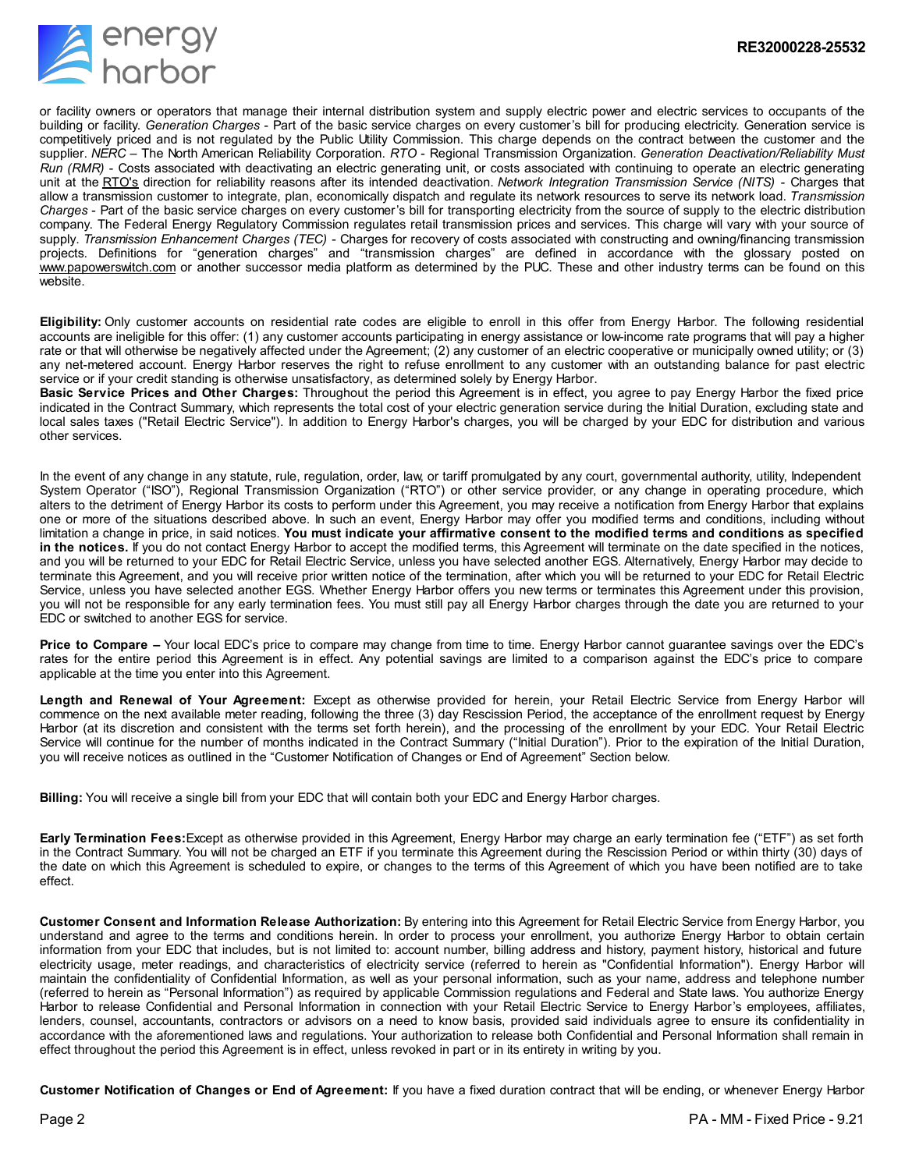

or facility owners or operators that manage their internal distribution system and supply electric power and electric services to occupants of the building or facility. *Generation Charges* - Part of the basic service charges on every customer's bill for producing electricity. Generation service is competitively priced and is not regulated by the Public Utility Commission. This charge depends on the contract between the customer and the supplier. *NERC* – The North American Reliability Corporation. *RTO* - Regional Transmission Organization. *Generation Deactivation/Reliability Must Run (RMR)* - Costs associated with deactivating an electric generating unit, or costs associated with continuing to operate an electric generating unit at the RTO's direction for reliability reasons after its intended deactivation. *Network Integration Transmission Service (NITS)* - Charges that allow a transmission customer to integrate, plan, economically dispatch and regulate its network resources to serve its network load. *Transmission Charges* - Part of the basic service charges on every customer's bill for transporting electricity from the source of supply to the electric distribution company. The Federal Energy Regulatory Commission regulates retail transmission prices and services. This charge will vary with your source of supply. *Transmission Enhancement Charges (TEC)* - Charges for recovery of costs associated with constructing and owning/financing transmission projects. Definitions for "generation charges" and "transmission charges" are defined in accordance with the glossary posted on ww.papowerswitch.com or another successor media platform as determined by the PUC. These and other industry terms can be found on this website.

**Eligibility:** Only customer accounts on residential rate codes are eligible to enroll in this offer from Energy Harbor. The following residential accounts are ineligible for this offer: (1) any customer accounts participating in energy assistance or low-income rate programs that will pay a higher rate or that will otherwise be negatively affected under the Agreement; (2) any customer of an electric cooperative or municipally owned utility; or (3) any net-metered account. Energy Harbor reserves the right to refuse enrollment to any customer with an outstanding balance for past electric service or if your credit standing is otherwise unsatisfactory, as determined solely by Energy Harbor.

**Basic Service Prices and Other Charges:** Throughout the period this Agreement is in effect, you agree to pay Energy Harbor the fixed price indicated in the Contract Summary, which represents the total cost of your electric generation service during the Initial Duration, excluding state and local sales taxes ("Retail Electric Service"). In addition to Energy Harbor's charges, you will be charged by your EDC for distribution and various other services.

In the event of any change in any statute, rule, regulation, order, law, or tariff promulgated by any court, governmental authority, utility, Independent System Operator ("ISO"), Regional Transmission Organization ("RTO") or other service provider, or any change in operating procedure, which alters to the detriment of Energy Harbor its costs to perform under this Agreement, you may receive a notification from Energy Harbor that explains one or more of the situations described above. In such an event, Energy Harbor may offer you modified terms and conditions, including without limitation a change in price, in said notices. You must indicate your affirmative consent to the modified terms and conditions as specified **in the notices.** If you do not contact Energy Harbor to accept the modified terms, this Agreement will terminate on the date specified in the notices, and you will be returned to your EDC for Retail Electric Service, unless you have selected another EGS. Alternatively, Energy Harbor may decide to terminate this Agreement, and you will receive prior written notice of the termination, after which you will be returned to your EDC for Retail Electric Service, unless you have selected another EGS. Whether Energy Harbor offers you new terms or terminates this Agreement under this provision, you will not be responsible for any early termination fees. You must still pay all Energy Harbor charges through the date you are returned to your EDC or switched to another EGS for service.

**Price to Compare –** Your local EDC's price to compare may change from time to time. Energy Harbor cannot guarantee savings over the EDC's rates for the entire period this Agreement is in effect. Any potential savings are limited to a comparison against the EDC's price to compare applicable at the time you enter into this Agreement.

**Length and Renewal of Your Agreement:** Except as otherwise provided for herein, your Retail Electric Service from Energy Harbor will commence on the next available meter reading, following the three (3) day Rescission Period, the acceptance of the enrollment request by Energy Harbor (at its discretion and consistent with the terms set forth herein), and the processing of the enrollment by your EDC. Your Retail Electric Service will continue for the number of months indicated in the Contract Summary ("Initial Duration"). Prior to the expiration of the Initial Duration, you will receive notices as outlined in the "Customer Notification of Changes or End of Agreement" Section below.

**Billing:** You will receive a single bill from your EDC that will contain both your EDC and Energy Harbor charges.

**Early Termination Fees:**Except as otherwise provided in this Agreement, Energy Harbor may charge an early termination fee ("ETF") as set forth in the Contract Summary. You will not be charged an ETF if you terminate this Agreement during the Rescission Period or within thirty (30) days of the date on which this Agreement is scheduled to expire, or changes to the terms of this Agreement of which you have been notified are to take effect.

**Customer Consent and Information Release Authorization:** By entering into this Agreement for Retail Electric Service from Energy Harbor, you understand and agree to the terms and conditions herein. In order to process your enrollment, you authorize Energy Harbor to obtain certain information from your EDC that includes, but is not limited to: account number, billing address and history, payment history, historical and future electricity usage, meter readings, and characteristics of electricity service (referred to herein as "Confidential Information"). Energy Harbor will maintain the confidentiality of Confidential Information, as well as your personal information, such as your name, address and telephone number (referred to herein as "Personal Information") as required by applicable Commission regulations and Federal and State laws. You authorize Energy Harbor to release Confidential and Personal Information in connection with your Retail Electric Service to Energy Harbor's employees, affiliates, lenders, counsel, accountants, contractors or advisors on a need to know basis, provided said individuals agree to ensure its confidentiality in accordance with the aforementioned laws and regulations. Your authorization to release both Confidential and Personal Information shall remain in effect throughout the period this Agreement is in effect, unless revoked in part or in its entirety in writing by you.

**Customer Notification of Changes or End of Agreement:** If you have a fixed duration contract that will be ending, or whenever Energy Harbor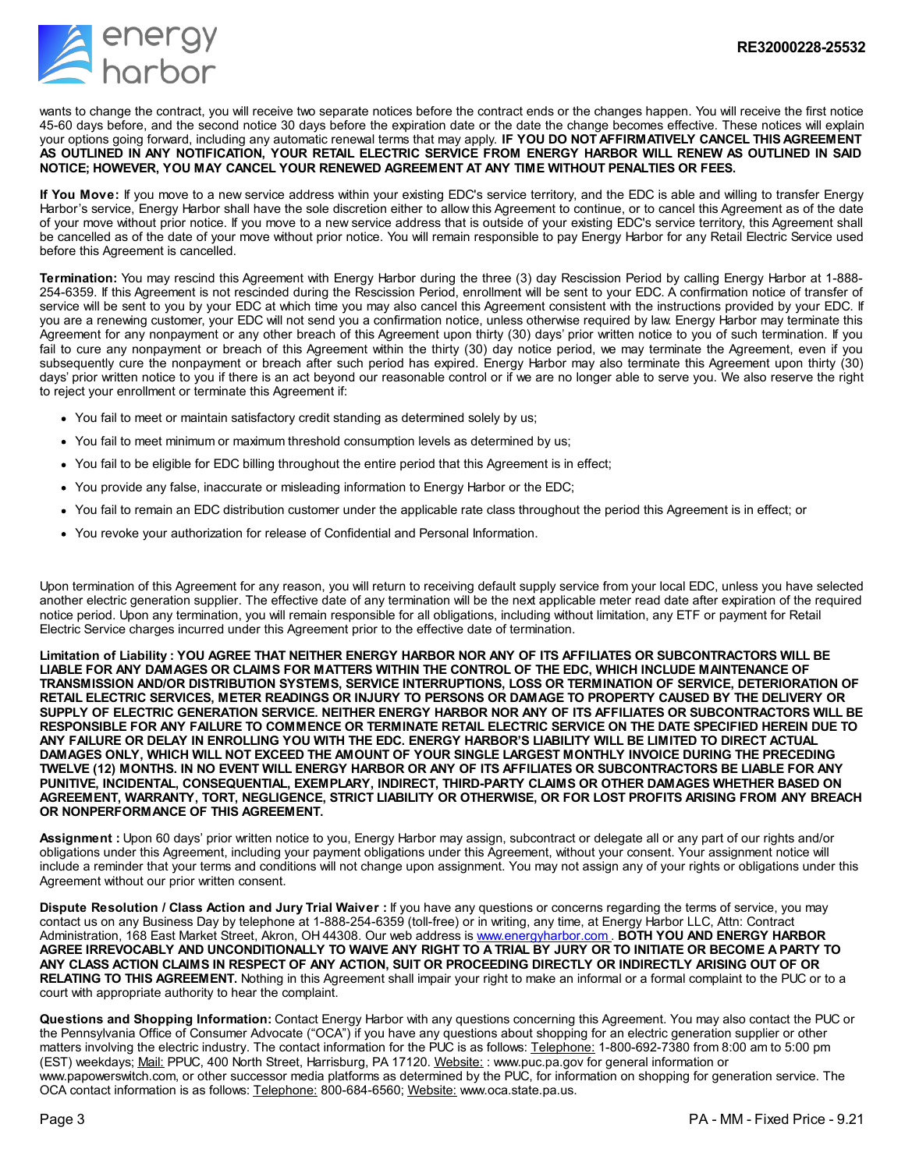

wants to change the contract, you will receive two separate notices before the contract ends or the changes happen. You will receive the first notice 45-60 days before, and the second notice 30 days before the expiration date or the date the change becomes effective. These notices will explain your options going forward, including any automatic renewal terms that may apply. **IF YOU DO NOTAFFIRMATIVELY CANCEL THIS AGREEMENT** AS OUTLINED IN ANY NOTIFICATION, YOUR RETAIL ELECTRIC SERVICE FROM ENERGY HARBOR WILL RENEW AS OUTLINED IN SAID **NOTICE; HOWEVER, YOU MAY CANCEL YOUR RENEWED AGREEMENT AT ANY TIME WITHOUT PENALTIES OR FEES.**

**If You Move:** If you move to a new service address within your existing EDC's service territory, and the EDC is able and willing to transfer Energy Harbor's service, Energy Harbor shall have the sole discretion either to allow this Agreement to continue, or to cancel this Agreement as of the date of your move without prior notice. If you move to a new service address that is outside of your existing EDC's service territory, this Agreement shall be cancelled as of the date of your move without prior notice. You will remain responsible to pay Energy Harbor for any Retail Electric Service used before this Agreement is cancelled.

**Termination:** You may rescind this Agreement with Energy Harbor during the three (3) day Rescission Period by calling Energy Harbor at 1-888- 254-6359. If this Agreement is not rescinded during the Rescission Period, enrollment will be sent to your EDC. A confirmation notice of transfer of service will be sent to you by your EDC at which time you may also cancel this Agreement consistent with the instructions provided by your EDC. If you are a renewing customer, your EDC will not send you a confirmation notice, unless otherwise required by law. Energy Harbor may terminate this Agreement for any nonpayment or any other breach of this Agreement upon thirty (30) days' prior written notice to you of such termination. If you fail to cure any nonpayment or breach of this Agreement within the thirty (30) day notice period, we may terminate the Agreement, even if you subsequently cure the nonpayment or breach after such period has expired. Energy Harbor may also terminate this Agreement upon thirty (30) days' prior written notice to you if there is an act beyond our reasonable control or if we are no longer able to serve you. We also reserve the right to reject your enrollment or terminate this Agreement if:

- You fail to meet or maintain satisfactory credit standing as determined solely by us;
- You fail to meet minimum or maximum threshold consumption levels as determined by us;
- You fail to be eligible for EDC billing throughout the entire period that this Agreement is in effect;
- You provide any false, inaccurate or misleading information to Energy Harbor or the EDC;
- You fail to remain an EDC distribution customer under the applicable rate class throughout the period this Agreement is in effect; or
- You revoke your authorization for release of Confidential and Personal Information.

Upon termination of this Agreement for any reason, you will return to receiving default supply service from your local EDC, unless you have selected another electric generation supplier. The effective date of any termination will be the next applicable meter read date after expiration of the required notice period. Upon any termination, you will remain responsible for all obligations, including without limitation, any ETF or payment for Retail Electric Service charges incurred under this Agreement prior to the effective date of termination.

Limitation of Liability: YOU AGREE THAT NEITHER ENERGY HARBOR NOR ANY OF ITS AFFILIATES OR SUBCONTRACTORS WILL BE LIABLE FOR ANY DAMAGES OR CLAIMS FOR MATTERS WITHIN THE CONTROL OF THE EDC, WHICH INCLUDE MAINTENANCE OF **TRANSMISSION AND/OR DISTRIBUTION SYSTEMS, SERVICE INTERRUPTIONS, LOSS OR TERMINATION OF SERVICE, DETERIORATION OF** RETAIL ELECTRIC SERVICES, METER READINGS OR INJURY TO PERSONS OR DAMAGE TO PROPERTY CAUSED BY THE DELIVERY OR SUPPLY OF ELECTRIC GENERATION SERVICE. NEITHER ENERGY HARBOR NOR ANY OF ITS AFFILIATES OR SUBCONTRACTORS WILL BE RESPONSIBLE FOR ANY FAILURE TO COMMENCE OR TERMINATE RETAIL ELECTRIC SERVICE ON THE DATE SPECIFIED HEREIN DUE TO ANY FAILURE OR DELAY IN ENROLLING YOU WITH THE EDC. ENERGY HARBOR'S LIABILITY WILL BE LIMITED TO DIRECT ACTUAL DAMAGES ONLY, WHICH WILL NOT EXCEED THE AMOUNT OF YOUR SINGLE LARGEST MONTHLY INVOICE DURING THE PRECEDING TWELVE (12) MONTHS. IN NO EVENT WILL ENERGY HARBOR OR ANY OF ITS AFFILIATES OR SUBCONTRACTORS BE LIABLE FOR ANY **PUNITIVE, INCIDENTAL, CONSEQUENTIAL, EXEMPLARY, INDIRECT, THIRD-PARTY CLAIMS OR OTHER DAMAGES WHETHER BASED ON** AGREEMENT, WARRANTY, TORT, NEGLIGENCE, STRICT LIABILITY OR OTHERWISE, OR FOR LOST PROFITS ARISING FROM ANY BREACH **OR NONPERFORMANCE OF THIS AGREEMENT.**

**Assignment :** Upon 60 days' prior written notice to you, Energy Harbor may assign, subcontract or delegate all or any part of our rights and/or obligations under this Agreement, including your payment obligations under this Agreement, without your consent. Your assignment notice will include a reminder that your terms and conditions will not change upon assignment. You may not assign any of your rights or obligations under this Agreement without our prior written consent.

**Dispute Resolution / Class Action and Jury Trial Waiver :** If you have any questions or concerns regarding the terms of service, you may contact us on any Business Day by telephone at 1-888-254-6359 (toll-free) or in writing, any time, at Energy Harbor LLC, Attn: Contract Administration, 168 East Market Street, Akron, OH 44308. Our web address is [www.energyharbor.com](https://omt.energyharbor.com/DocumentTemplate/EditTemplate?id=5#) . **BOTH YOU AND ENERGY HARBOR** AGREE IRREVOCABLY AND UNCONDITIONALLY TO WAIVE ANY RIGHT TO A TRIAL BY JURY OR TO INITIATE OR BECOME A PARTY TO ANY CLASS ACTION CLAIMS IN RESPECT OF ANY ACTION, SUIT OR PROCEEDING DIRECTLY OR INDIRECTLY ARISING OUT OF OR **RELATING TO THIS AGREEMENT.** Nothing in this Agreement shall impair your right to make an informal or a formal complaint to the PUC or to a court with appropriate authority to hear the complaint.

**Questions and Shopping Information:** Contact Energy Harbor with any questions concerning this Agreement. You may also contact the PUC or the Pennsylvania Office of Consumer Advocate ("OCA") if you have any questions about shopping for an electric generation supplier or other matters involving the electric industry. The contact information for the PUC is as follows: Telephone: 1-800-692-7380 from 8:00 am to 5:00 pm (EST) weekdays; Mail: PPUC, 400 North Street, Harrisburg, PA 17120. Website: : www.puc.pa.gov for general information or www.papowerswitch.com, or other successor media platforms as determined by the PUC, for information on shopping for generation service. The OCA contact information is as follows: Telephone: 800-684-6560; Website: www.oca.state.pa.us.